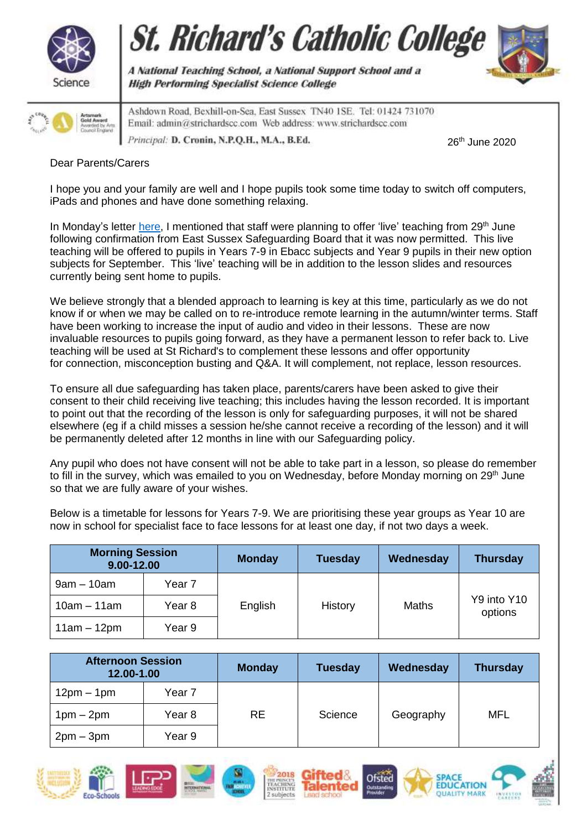





Ashdown Road, Bexhill-on-Sea, East Sussex TN40 1SE. Tel: 01424 731070 Email: admin@strichardscc.com Web address: www.strichardscc.com Principal: D. Cronin, N.P.Q.H., M.A., B.Ed.

A National Teaching School, a National Support School and a

**High Performing Specialist Science College** 

26th June 2020

## Dear Parents/Carers

I hope you and your family are well and I hope pupils took some time today to switch off computers, iPads and phones and have done something relaxing.

In Monday's letter [here,](https://www.strichardscc.com/wp-content/uploads/2020/06/Coronavirus-letter_220620.pdf) I mentioned that staff were planning to offer 'live' teaching from 29<sup>th</sup> June following confirmation from East Sussex Safeguarding Board that it was now permitted. This live teaching will be offered to pupils in Years 7-9 in Ebacc subjects and Year 9 pupils in their new option subjects for September. This 'live' teaching will be in addition to the lesson slides and resources currently being sent home to pupils.

We believe strongly that a blended approach to learning is key at this time, particularly as we do not know if or when we may be called on to re-introduce remote learning in the autumn/winter terms. Staff have been working to increase the input of audio and video in their lessons. These are now invaluable resources to pupils going forward, as they have a permanent lesson to refer back to. Live teaching will be used at St Richard's to complement these lessons and offer opportunity for connection, misconception busting and Q&A. It will complement, not replace, lesson resources.

To ensure all due safeguarding has taken place, parents/carers have been asked to give their consent to their child receiving live teaching; this includes having the lesson recorded. It is important to point out that the recording of the lesson is only for safeguarding purposes, it will not be shared elsewhere (eg if a child misses a session he/she cannot receive a recording of the lesson) and it will be permanently deleted after 12 months in line with our Safeguarding policy.

Any pupil who does not have consent will not be able to take part in a lesson, so please do remember to fill in the survey, which was emailed to you on Wednesday, before Monday morning on 29<sup>th</sup> June so that we are fully aware of your wishes.

Below is a timetable for lessons for Years 7-9. We are prioritising these year groups as Year 10 are now in school for specialist face to face lessons for at least one day, if not two days a week.

| <b>Morning Session</b><br>9.00-12.00 |                   | <b>Monday</b> | <b>Tuesday</b> | Wednesday    | <b>Thursday</b>        |
|--------------------------------------|-------------------|---------------|----------------|--------------|------------------------|
| $9am - 10am$                         | Year 7            | English       | History        | <b>Maths</b> | Y9 into Y10<br>options |
| $10am - 11am$                        | Year <sub>8</sub> |               |                |              |                        |
| $11am - 12pm$                        | Year 9            |               |                |              |                        |

| <b>Afternoon Session</b><br>12.00-1.00 |        | <b>Monday</b> | <b>Tuesday</b> | Wednesday | <b>Thursday</b> |
|----------------------------------------|--------|---------------|----------------|-----------|-----------------|
| $12pm - 1pm$                           | Year 7 |               |                |           |                 |
| $1pm - 2pm$                            | Year 8 | <b>RE</b>     | Science        | Geography | <b>MFL</b>      |
| $2pm-3pm$                              | Year 9 |               |                |           |                 |